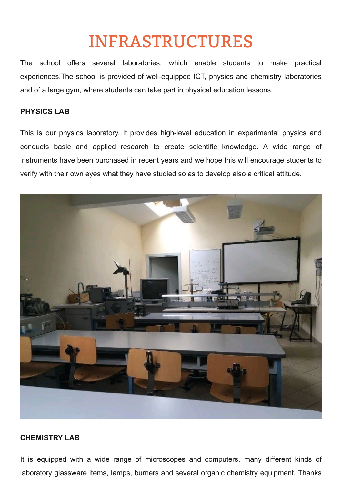# INFRASTRUCTURES

The school offers several laboratories, which enable students to make practical experiences.The school is provided of well-equipped ICT, physics and chemistry laboratories and of a large gym, where students can take part in physical education lessons.

#### **PHYSICS LAB**

This is our physics laboratory. It provides high-level education in experimental physics and conducts basic and applied research to create scientific knowledge. A wide range of instruments have been purchased in recent years and we hope this will encourage students to verify with their own eyes what they have studied so as to develop also a critical attitude.



## **CHEMISTRY LAB**

It is equipped with a wide range of microscopes and computers, many different kinds of laboratory glassware items, lamps, burners and several organic chemistry equipment. Thanks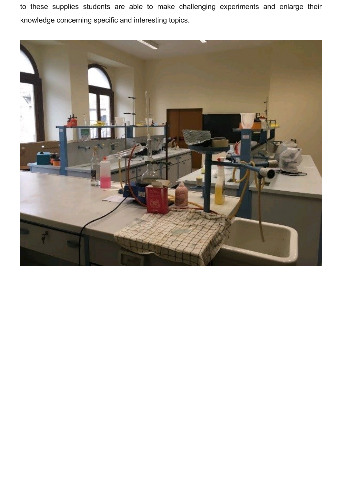to these supplies students are able to make challenging experiments and enlarge their knowledge concerning specific and interesting topics.

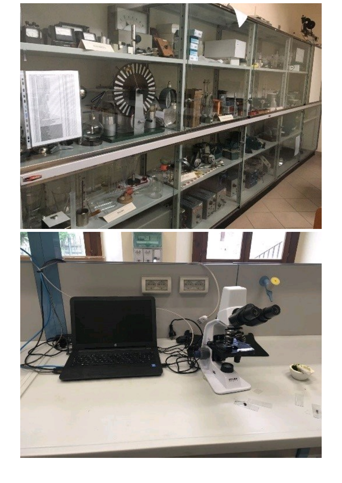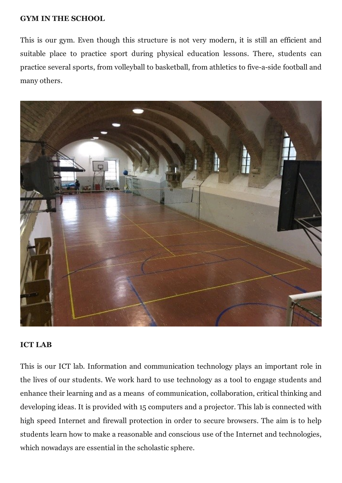#### **GYM IN THE SCHOOL**

This is our gym. Even though this structure is not very modern, it is still an efficient and suitable place to practice sport during physical education lessons. There, students can practice several sports, from volleyball to basketball, from athletics to five-a-side football and many others.



## **ICT LAB**

This is our ICT lab. Information and communication technology plays an important role in the lives of our students. We work hard to use technology as a tool to engage students and enhance their learning and as a means of communication, collaboration, critical thinking and developing ideas. It is provided with 15 computers and a projector. This lab is connected with high speed Internet and firewall protection in order to secure browsers. The aim is to help students learn how to make a reasonable and conscious use of the Internet and technologies, which nowadays are essential in the scholastic sphere.